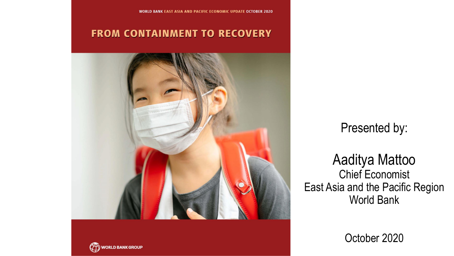#### **FROM CONTAINMENT TO RECOVERY**



#### Presented by:

#### Aaditya Mattoo Chief Economist East Asia and the Pacific Region World Bank

October 2020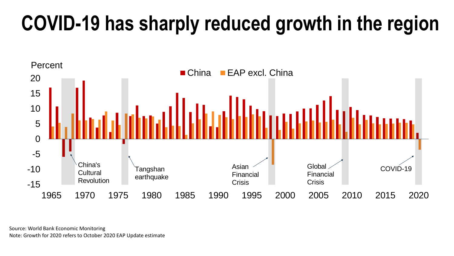# **COVID-19 has sharply reduced growth in the region**



Source: World Bank Economic Monitoring Note: Growth for 2020 refers to October 2020 EAP Update estimate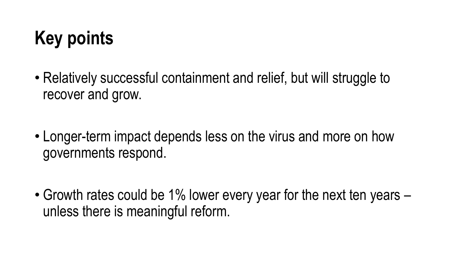# **Key points**

- Relatively successful containment and relief, but will struggle to recover and grow.
- Longer-term impact depends less on the virus and more on how governments respond.

• Growth rates could be 1% lower every year for the next ten years – unless there is meaningful reform.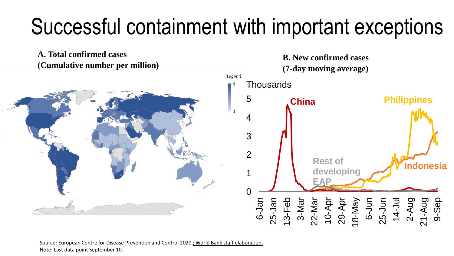# Successful containment with important exceptions



Source: European Centre for Disease Prevention and Control 2020.; World Bank staff elaboration.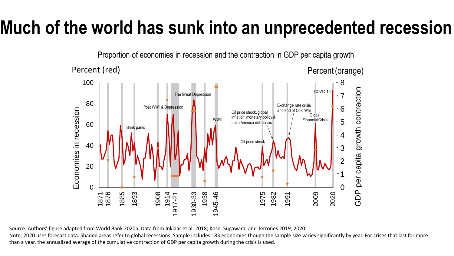#### **Much of the world has sunk into an unprecedented recession**



Source: Authors' figure adapted from World Bank 2020a. Data from Inklaar et al. 2018; Kose, Sugawara, and Terrones 2019, 2020.

Note: 2020 uses forecast data. Shaded areas refer to global recessions. Sample includes 183 economies though the sample size varies significantly by year. For crises that last for more than a year, the annualized average of the cumulative contraction of GDP per capita growth during the crisis is used.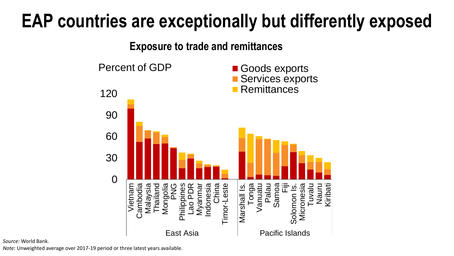#### **EAP countries are exceptionally but differently exposed**

**Exposure to trade and remittances**



*Source:* World Bank.

*Note:* Unweighted average over 2017-19 period or three latest years available.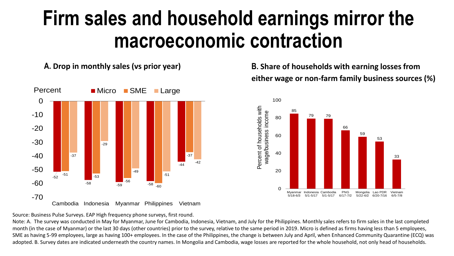## **Firm sales and household earnings mirror the macroeconomic contraction**



**A. Drop in monthly sales (vs prior year) B. Share of households with earning losses from either wage or non-farm family business sources (%)**



Source: Business Pulse Surveys. EAP High frequency phone surveys, first round.

Note: A. The survey was conducted in May for Myanmar, June for Cambodia, Indonesia, Vietnam, and July for the Philippines. Monthly sales refers to firm sales in the last completed month (in the case of Myanmar) or the last 30 days (other countries) prior to the survey, relative to the same period in 2019. Micro is defined as firms having less than 5 employees, SME as having 5-99 employees, large as having 100+ employees. In the case of the Philippines, the change is between July and April, when Enhanced Community Quarantine (ECQ) was adopted. B. Survey dates are indicated underneath the country names. In Mongolia and Cambodia, wage losses are reported for the whole household, not only head of households.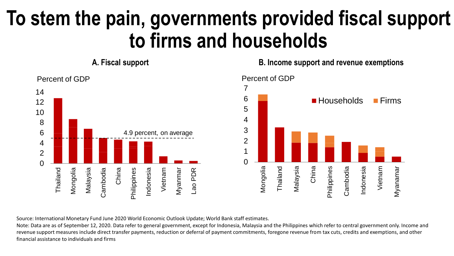## **To stem the pain, governments provided fiscal support to firms and households**

**A. Fiscal support B. Income support and revenue exemptions**



Source: International Monetary Fund June 2020 World Economic Outlook Update; World Bank staff estimates.

Note: Data are as of September 12, 2020. Data refer to general government, except for Indonesia, Malaysia and the Philippines which refer to central government only. Income and revenue support measures include direct transfer payments, reduction or deferral of payment commitments, foregone revenue from tax cuts, credits and exemptions, and other financial assistance to individuals and firms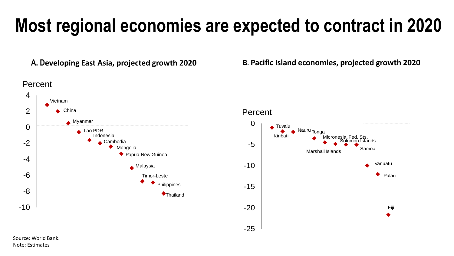### **Most regional economies are expected to contract in 2020**



**A. Developing East Asia, projected growth 2020 B. Pacific Island economies, projected growth 2020**

Percent



Source: World Bank. Note: Estimates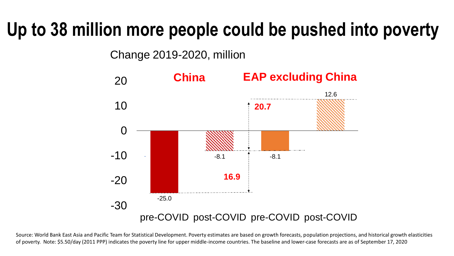#### **Up to 38 million more people could be pushed into poverty**

Change 2019-2020, million



Source: World Bank East Asia and Pacific Team for Statistical Development. Poverty estimates are based on growth forecasts, population projections, and historical growth elasticities of poverty. Note: \$5.50/day (2011 PPP) indicates the poverty line for upper middle-income countries. The baseline and lower-case forecasts are as of September 17, 2020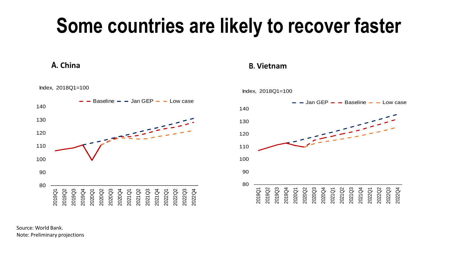## **Some countries are likely to recover faster**



Index, 2018Q1=100

**A. China B. Vietnam**



Source: World Bank. Note: Preliminary projections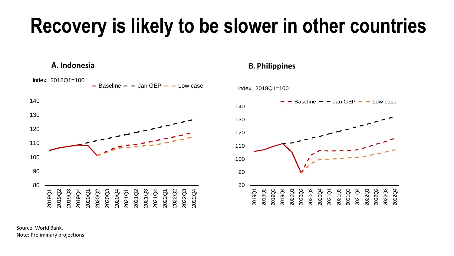# **Recovery is likely to be slower in other countries**



Source: World Bank. Note: Preliminary projections

#### **A. Indonesia B. Philippines**

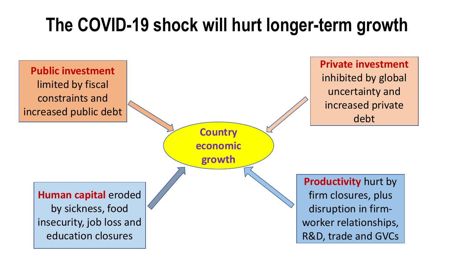### **The COVID-19 shock will hurt longer-term growth**

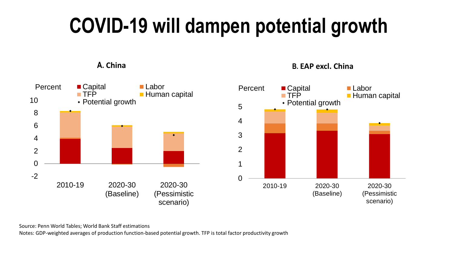# **COVID-19 will dampen potential growth**

**A. China B. EAP excl. China** -2 0 2 4 6 8 10 2010-19 2020-30 (Baseline) 2020-30 (Pessimistic scenario) Percent Capital Labor **THP Human capital** Potential growth 0 1 2 3 4 5 2010-19 2020-30 (Baseline) 2020-30 (Pessimistic scenario) Percent Capital Labor<br>
FFP Huma  $\blacksquare$  Human capital Potential growth

Source: Penn World Tables; World Bank Staff estimations

Notes: GDP-weighted averages of production function-based potential growth. TFP is total factor productivity growth